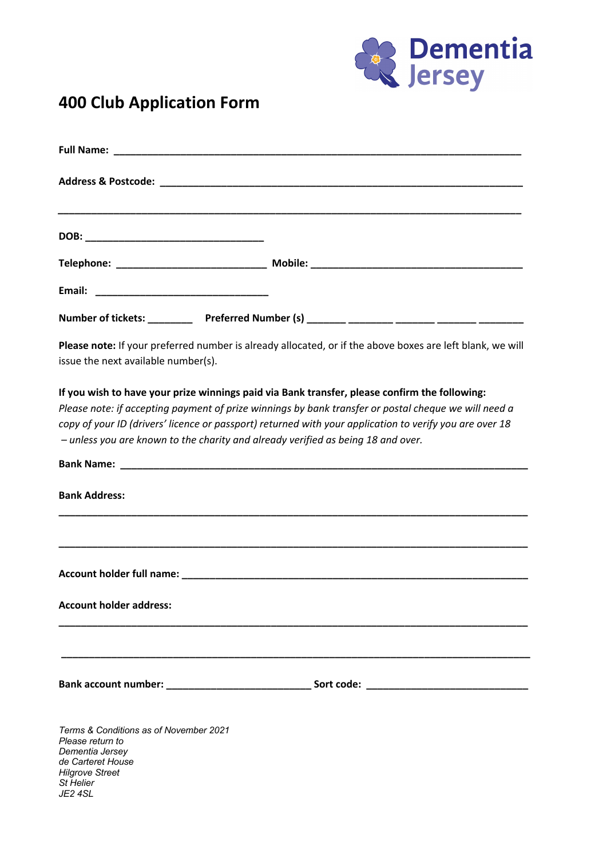

## **400 Club Application Form**

| issue the next available number(s).                                                                                                                  | Please note: If your preferred number is already allocated, or if the above boxes are left blank, we will                                                                                                                                                                                                        |  |  |  |
|------------------------------------------------------------------------------------------------------------------------------------------------------|------------------------------------------------------------------------------------------------------------------------------------------------------------------------------------------------------------------------------------------------------------------------------------------------------------------|--|--|--|
| - unless you are known to the charity and already verified as being 18 and over.                                                                     | If you wish to have your prize winnings paid via Bank transfer, please confirm the following:<br>Please note: if accepting payment of prize winnings by bank transfer or postal cheque we will need a<br>copy of your ID (drivers' licence or passport) returned with your application to verify you are over 18 |  |  |  |
|                                                                                                                                                      |                                                                                                                                                                                                                                                                                                                  |  |  |  |
| <b>Bank Address:</b>                                                                                                                                 |                                                                                                                                                                                                                                                                                                                  |  |  |  |
|                                                                                                                                                      |                                                                                                                                                                                                                                                                                                                  |  |  |  |
|                                                                                                                                                      |                                                                                                                                                                                                                                                                                                                  |  |  |  |
| <b>Account holder address:</b>                                                                                                                       |                                                                                                                                                                                                                                                                                                                  |  |  |  |
|                                                                                                                                                      |                                                                                                                                                                                                                                                                                                                  |  |  |  |
|                                                                                                                                                      | Bank account number: ___________________________________ Sort code: _______________________________                                                                                                                                                                                                              |  |  |  |
| Terms & Conditions as of November 2021<br>Please return to<br>Dementia Jersey<br>de Carteret House<br><b>Hilgrove Street</b><br>St Helier<br>JE2 4SL |                                                                                                                                                                                                                                                                                                                  |  |  |  |